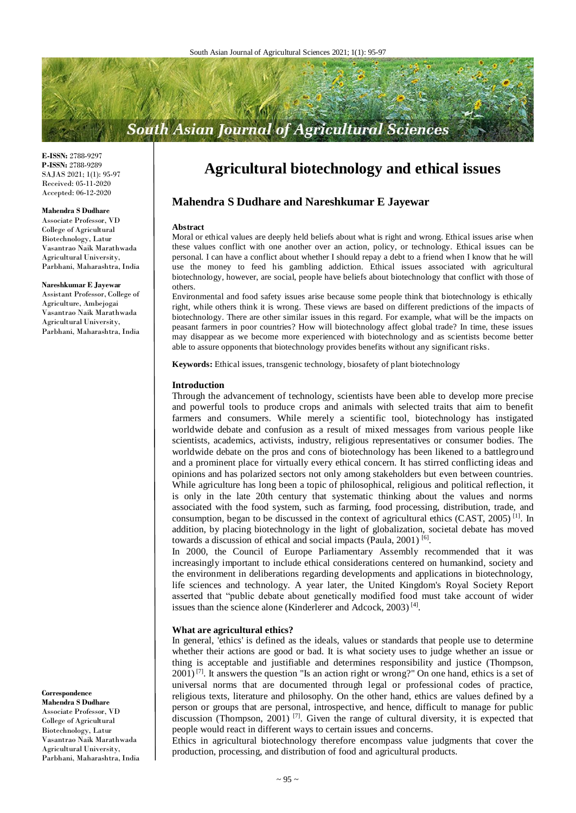# **South Asian Journal of Agricultural Sciences**

**E-ISSN:** 2788-9297 **P-ISSN:** 2788-9289 SAJAS 2021; 1(1): 95-97 Received: 05-11-2020 Accepted: 06-12-2020

#### **Mahendra S Dudhare**

Associate Professor, VD College of Agricultural Biotechnology, Latur Vasantrao Naik Marathwada Agricultural University, Parbhani, Maharashtra, India

**Nareshkumar E Jayewar** Assistant Professor, College of Agriculture, Ambejogai

Vasantrao Naik Marathwada Agricultural University, Parbhani, Maharashtra, India

**Correspondence**

**Mahendra S Dudhare** Associate Professor, VD College of Agricultural Biotechnology, Latur Vasantrao Naik Marathwada Agricultural University, Parbhani, Maharashtra, India

## **Agricultural biotechnology and ethical issues**

## **Mahendra S Dudhare and Nareshkumar E Jayewar**

#### **Abstract**

Moral or ethical values are deeply held beliefs about what is right and wrong. Ethical issues arise when these values conflict with one another over an action, policy, or technology. Ethical issues can be personal. I can have a conflict about whether I should repay a debt to a friend when I know that he will use the money to feed his gambling addiction. Ethical issues associated with agricultural biotechnology, however, are social, people have beliefs about biotechnology that conflict with those of others.

Environmental and food safety issues arise because some people think that biotechnology is ethically right, while others think it is wrong. These views are based on different predictions of the impacts of biotechnology. There are other similar issues in this regard. For example, what will be the impacts on peasant farmers in poor countries? How will biotechnology affect global trade? In time, these issues may disappear as we become more experienced with biotechnology and as scientists become better able to assure opponents that biotechnology provides benefits without any significant risks.

**Keywords:** Ethical issues, transgenic technology, biosafety of plant biotechnology

#### **Introduction**

Through the advancement of technology, scientists have been able to develop more precise and powerful tools to produce crops and animals with selected traits that aim to benefit farmers and consumers. While merely a scientific tool, biotechnology has instigated worldwide debate and confusion as a result of mixed messages from various people like scientists, academics, activists, industry, religious representatives or consumer bodies. The worldwide debate on the pros and cons of biotechnology has been likened to a battleground and a prominent place for virtually every ethical concern. It has stirred conflicting ideas and opinions and has polarized sectors not only among stakeholders but even between countries. While agriculture has long been a topic of philosophical, religious and political reflection, it is only in the late 20th century that systematic thinking about the values and norms associated with the food system, such as farming, food processing, distribution, trade, and consumption, began to be discussed in the context of agricultural ethics  $(CAST, 2005)^{[1]}$ . In addition, by placing biotechnology in the light of globalization, societal debate has moved towards a discussion of ethical and social impacts (Paula, 2001)<sup>[6]</sup>.

In 2000, the Council of Europe Parliamentary Assembly recommended that it was increasingly important to include ethical considerations centered on humankind, society and the environment in deliberations regarding developments and applications in biotechnology, life sciences and technology. A year later, the United Kingdom's Royal Society Report asserted that "public debate about genetically modified food must take account of wider issues than the science alone (Kinderlerer and Adcock,  $2003$ )<sup>[4]</sup>.

#### **What are agricultural ethics?**

In general, 'ethics' is defined as the ideals, values or standards that people use to determine whether their actions are good or bad. It is what society uses to judge whether an issue or thing is acceptable and justifiable and determines responsibility and justice (Thompson,  $2001$ <sup>[7]</sup>. It answers the question "Is an action right or wrong?" On one hand, ethics is a set of universal norms that are documented through legal or professional codes of practice, religious texts, literature and philosophy. On the other hand, ethics are values defined by a person or groups that are personal, introspective, and hence, difficult to manage for public discussion (Thompson, 2001)<sup>[7]</sup>. Given the range of cultural diversity, it is expected that people would react in different ways to certain issues and concerns.

Ethics in agricultural biotechnology therefore encompass value judgments that cover the production, processing, and distribution of food and agricultural products.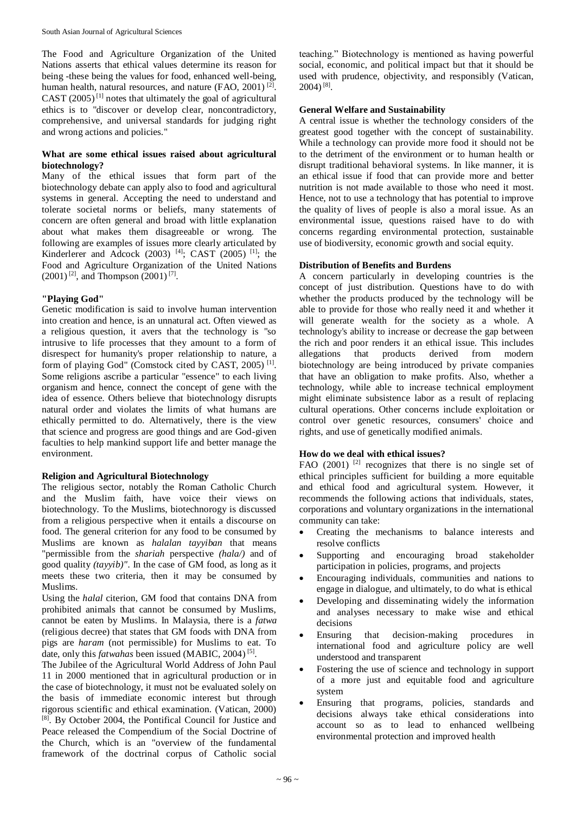The Food and Agriculture Organization of the United Nations asserts that ethical values determine its reason for being -these being the values for food, enhanced well-being, human health, natural resources, and nature (FAO, 2001)<sup>[2]</sup>. CAST  $(2005)^{[1]}$  notes that ultimately the goal of agricultural ethics is to "discover or develop clear, noncontradictory, comprehensive, and universal standards for judging right and wrong actions and policies."

## **What are some ethical issues raised about agricultural biotechnology?**

Many of the ethical issues that form part of the biotechnology debate can apply also to food and agricultural systems in general. Accepting the need to understand and tolerate societal norms or beliefs, many statements of concern are often general and broad with little explanation about what makes them disagreeable or wrong. The following are examples of issues more clearly articulated by Kinderlerer and Adcock  $(2003)$ <sup>[4]</sup>; CAST  $(2005)$ <sup>[1]</sup>; the Food and Agriculture Organization of the United Nations  $(2001)^{[2]}$ , and Thompson  $(2001)^{[7]}$ .

## **"Playing God"**

Genetic modification is said to involve human intervention into creation and hence, is an unnatural act. Often viewed as a religious question, it avers that the technology is "so intrusive to life processes that they amount to a form of disrespect for humanity's proper relationship to nature, a form of playing God" (Comstock cited by CAST, 2005)<sup>[1]</sup>. Some religions ascribe a particular "essence" to each living organism and hence, connect the concept of gene with the idea of essence. Others believe that biotechnology disrupts natural order and violates the limits of what humans are ethically permitted to do. Alternatively, there is the view that science and progress are good things and are God-given faculties to help mankind support life and better manage the environment.

## **Religion and Agricultural Biotechnology**

The religious sector, notably the Roman Catholic Church and the Muslim faith, have voice their views on biotechnology. To the Muslims, biotechnorogy is discussed from a religious perspective when it entails a discourse on food. The general criterion for any food to be consumed by Muslims are known as *halalan tayyiban* that means "permissible from the *shariah* perspective *(hala/)* and of good quality *(tayyib)".* In the case of GM food, as long as it meets these two criteria, then it may be consumed by Muslims.

Using the *halal* citerion, GM food that contains DNA from prohibited animals that cannot be consumed by Muslims, cannot be eaten by Muslims. In Malaysia, there is a *fatwa*  (religious decree) that states that GM foods with DNA from pigs are *haram* (not permissible) for Muslims to eat. To date, only this *fatwahas* been issued (MABIC, 2004)<sup>[5]</sup>.

The Jubilee of the Agricultural World Address of John Paul 11 in 2000 mentioned that in agricultural production or in the case of biotechnology, it must not be evaluated solely on the basis of immediate economic interest but through rigorous scientific and ethical examination. (Vatican, 2000) [8] . By October 2004, the Pontifical Council for Justice and Peace released the Compendium of the Social Doctrine of the Church, which is an "overview of the fundamental framework of the doctrinal corpus of Catholic social

teaching." Biotechnology is mentioned as having powerful social, economic, and political impact but that it should be used with prudence, objectivity, and responsibly (Vatican,  $2004)$ <sup>[8]</sup>.

## **General Welfare and Sustainability**

A central issue is whether the technology considers of the greatest good together with the concept of sustainability. While a technology can provide more food it should not be to the detriment of the environment or to human health or disrupt traditional behavioral systems. In like manner, it is an ethical issue if food that can provide more and better nutrition is not made available to those who need it most. Hence, not to use a technology that has potential to improve the quality of lives of people is also a moral issue. As an environmental issue, questions raised have to do with concerns regarding environmental protection, sustainable use of biodiversity, economic growth and social equity.

## **Distribution of Benefits and Burdens**

A concern particularly in developing countries is the concept of just distribution. Questions have to do with whether the products produced by the technology will be able to provide for those who really need it and whether it will generate wealth for the society as a whole. A technology's ability to increase or decrease the gap between the rich and poor renders it an ethical issue. This includes allegations that products derived from modern biotechnology are being introduced by private companies that have an obligation to make profits. Also, whether a technology, while able to increase technical employment might eliminate subsistence labor as a result of replacing cultural operations. Other concerns include exploitation or control over genetic resources, consumers' choice and rights, and use of genetically modified animals.

## **How do we deal with ethical issues?**

FAO  $(2001)$ <sup>[2]</sup> recognizes that there is no single set of ethical principles sufficient for building a more equitable and ethical food and agricultural system. However, it recommends the following actions that individuals, states, corporations and voluntary organizations in the international community can take:

- Creating the mechanisms to balance interests and resolve conflicts
- Supporting and encouraging broad stakeholder participation in policies, programs, and projects
- Encouraging individuals, communities and nations to engage in dialogue, and ultimately, to do what is ethical
- Developing and disseminating widely the information and analyses necessary to make wise and ethical decisions
- Ensuring that decision-making procedures in international food and agriculture policy are well understood and transparent
- Fostering the use of science and technology in support of a more just and equitable food and agriculture system
- Ensuring that programs, policies, standards and decisions always take ethical considerations into account so as to lead to enhanced wellbeing environmental protection and improved health